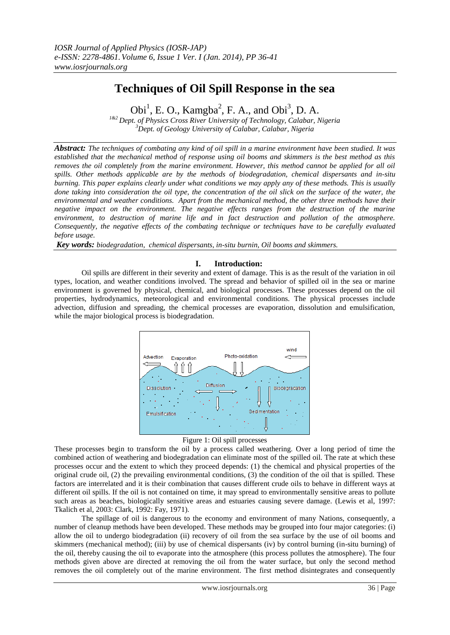# **Techniques of Oil Spill Response in the sea**

 $\text{Obj}^1$ , E. O., Kamgba<sup>2</sup>, F. A., and Obi<sup>3</sup>, D. A. *1&2 Dept. of Physics Cross River University of Technology, Calabar, Nigeria <sup>3</sup>Dept. of Geology University of Calabar, Calabar, Nigeria*

*Abstract: The techniques of combating any kind of oil spill in a marine environment have been studied. It was established that the mechanical method of response using oil booms and skimmers is the best method as this removes the oil completely from the marine environment. However, this method cannot be applied for all oil spills. Other methods applicable are by the methods of biodegradation, chemical dispersants and in-situ burning. This paper explains clearly under what conditions we may apply any of these methods. This is usually done taking into consideration the oil type, the concentration of the oil slick on the surface of the water, the environmental and weather conditions. Apart from the mechanical method, the other three methods have their negative impact on the environment. The negative effects ranges from the destruction of the marine environment, to destruction of marine life and in fact destruction and pollution of the atmosphere. Consequently, the negative effects of the combating technique or techniques have to be carefully evaluated before usage.*

*Key words: biodegradation, chemical dispersants, in-situ burnin, Oil booms and skimmers.*

## **I. Introduction:**

Oil spills are different in their severity and extent of damage. This is as the result of the variation in oil types, location, and weather conditions involved. The spread and behavior of spilled oil in the sea or marine environment is governed by physical, chemical, and biological processes. These processes depend on the oil properties, hydrodynamics, meteorological and environmental conditions. The physical processes include advection, diffusion and spreading, the chemical processes are evaporation, dissolution and emulsification, while the major biological process is biodegradation.



Figure 1: Oil spill processes

These processes begin to transform the oil by a process called weathering. Over a long period of time the combined action of weathering and biodegradation can eliminate most of the spilled oil. The rate at which these processes occur and the extent to which they proceed depends: (1) the chemical and physical properties of the original crude oil, (2) the prevailing environmental conditions, (3) the condition of the oil that is spilled. These factors are interrelated and it is their combination that causes different crude oils to behave in different ways at different oil spills. If the oil is not contained on time, it may spread to environmentally sensitive areas to pollute such areas as beaches, biologically sensitive areas and estuaries causing severe damage. (Lewis et al, 1997: Tkalich et al, 2003: Clark, 1992: Fay, 1971).

The spillage of oil is dangerous to the economy and environment of many Nations, consequently, a number of cleanup methods have been developed. These methods may be grouped into four major categories: (i) allow the oil to undergo biodegradation (ii) recovery of oil from the sea surface by the use of oil booms and skimmers (mechanical method); (iii) by use of chemical dispersants (iv) by control burning (in-situ burning) of the oil, thereby causing the oil to evaporate into the atmosphere (this process pollutes the atmosphere). The four methods given above are directed at removing the oil from the water surface, but only the second method removes the oil completely out of the marine environment. The first method disintegrates and consequently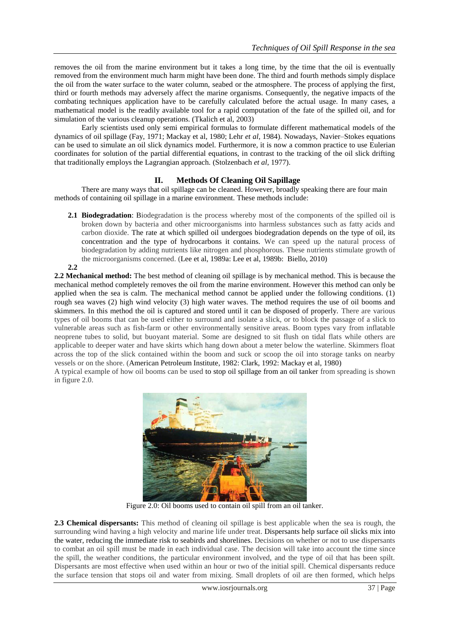removes the oil from the marine environment but it takes a long time, by the time that the oil is eventually removed from the environment much harm might have been done. The third and fourth methods simply displace the oil from the water surface to the water column, seabed or the atmosphere. The process of applying the first, third or fourth methods may adversely affect the marine organisms. Consequently, the negative impacts of the combating techniques application have to be carefully calculated before the actual usage. In many cases, a mathematical model is the readily available tool for a rapid computation of the fate of the spilled oil, and for simulation of the various cleanup operations. (Tkalich et al, 2003)

Early scientists used only semi empirical formulas to formulate different mathematical models of the dynamics of oil spillage (Fay, 1971; Mackay et al, 1980; Lehr *et al*, 1984). Nowadays, Navier–Stokes equations can be used to simulate an oil slick dynamics model. Furthermore, it is now a common practice to use Eulerian coordinates for solution of the partial differential equations, in contrast to the tracking of the oil slick drifting that traditionally employs the Lagrangian approach. (Stolzenbach *et al*, 1977).

## **II. Methods Of Cleaning Oil Sapillage**

There are many ways that oil spillage can be cleaned. However, broadly speaking there are four main methods of containing oil spillage in a marine environment. These methods include:

**2.1 Biodegradation**: Biodegradation is the process whereby most of the components of the spilled oil is broken down by bacteria and other microorganisms into harmless substances such as fatty acids and carbon dioxide. The rate at which spilled oil undergoes biodegradation depends on the type of oil, its concentration and the type of hydrocarbons it contains. We can speed up the natural process of biodegradation by adding nutrients like nitrogen and phosphorous. These nutrients stimulate growth of the microorganisms concerned. (Lee et al, 1989a: Lee et al, 1989b: Biello, 2010) **2.2**

**2.2 Mechanical method:** The best method of cleaning oil spillage is by mechanical method. This is because the mechanical method completely removes the oil from the marine environment. However this method can only be applied when the sea is calm. The mechanical method cannot be applied under the following conditions. (1) rough sea waves (2) high wind velocity (3) high water waves. The method requires the use of oil booms and skimmers. In this method the oil is captured and stored until it can be disposed of properly. There are various types of oil booms that can be used either to surround and isolate a slick, or to block the passage of a slick to vulnerable areas such as fish-farm or other environmentally sensitive areas. Boom types vary from inflatable neoprene tubes to solid, but buoyant material. Some are designed to sit flush on tidal flats while others are applicable to deeper water and have skirts which hang down about a meter below the waterline. Skimmers float across the top of the slick contained within the boom and suck or scoop the oil into storage tanks on nearby vessels or on the shore. (American Petroleum Institute, 1982: Clark, 1992: Mackay et al, 1980)

A typical example of how oil booms can be used to stop oil spillage from an oil tanker from spreading is shown in figure 2.0.



Figure 2.0: Oil booms used to contain oil spill from an oil tanker.

**2.3 Chemical dispersants:** This method of cleaning oil spillage is best applicable when the sea is rough, the surrounding wind having a high velocity and marine life under treat. Dispersants help surface oil slicks mix into the water, reducing the immediate risk to seabirds and shorelines. Decisions on whether or not to use dispersants to combat an oil spill must be made in each individual case. The decision will take into account the time since the spill, the weather conditions, the particular environment involved, and the type of oil that has been spilt. Dispersants are most effective when used within an hour or two of the initial spill. Chemical dispersants reduce the surface tension that stops oil and water from mixing. Small droplets of oil are then formed, which helps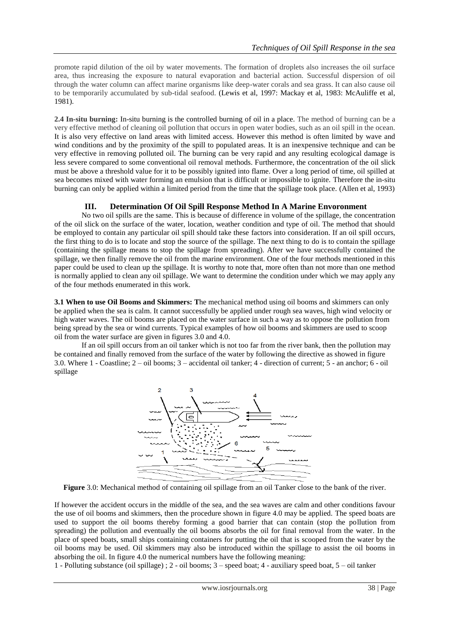promote rapid dilution of the oil by water movements. The formation of droplets also increases the oil surface area, thus increasing the exposure to natural evaporation and bacterial action. Successful dispersion of oil through the water column can affect marine organisms like deep-water corals and sea grass. It can also cause oil to be temporarily accumulated by sub-tidal seafood. (Lewis et al, 1997: Mackay et al, 1983: McAuliffe et al, 1981).

**2.4 In-situ burning:** In-situ burning is the controlled burning of oil in a place. The method of burning can be a very effective method of cleaning oil pollution that occurs in open water bodies, such as an oil spill in the ocean. It is also very effective on land areas with limited access. However this method is often limited by wave and wind conditions and by the proximity of the spill to populated areas. It is an inexpensive technique and can be very effective in removing polluted oil. The burning can be very rapid and any resulting ecological damage is less severe compared to some conventional oil removal methods. Furthermore, the concentration of the oil slick must be above a threshold value for it to be possibly ignited into flame. Over a long period of time, oil spilled at sea becomes mixed with water forming an emulsion that is difficult or impossible to ignite. Therefore the in-situ burning can only be applied within a limited period from the time that the spillage took place. (Allen et al, 1993)

# **III. Determination Of Oil Spill Response Method In A Marine Envoronment**

No two oil spills are the same. This is because of difference in volume of the spillage, the concentration of the oil slick on the surface of the water, location, weather condition and type of oil. The method that should be employed to contain any particular oil spill should take these factors into consideration. If an oil spill occurs, the first thing to do is to locate and stop the source of the spillage. The next thing to do is to contain the spillage (containing the spillage means to stop the spillage from spreading). After we have successfully contained the spillage, we then finally remove the oil from the marine environment. One of the four methods mentioned in this paper could be used to clean up the spillage. It is worthy to note that, more often than not more than one method is normally applied to clean any oil spillage. We want to determine the condition under which we may apply any of the four methods enumerated in this work.

**3.1 When to use Oil Booms and Skimmers: T**he mechanical method using oil booms and skimmers can only be applied when the sea is calm. It cannot successfully be applied under rough sea waves, high wind velocity or high water waves. The oil booms are placed on the water surface in such a way as to oppose the pollution from being spread by the sea or wind currents. Typical examples of how oil booms and skimmers are used to scoop oil from the water surface are given in figures 3.0 and 4.0.

If an oil spill occurs from an oil tanker which is not too far from the river bank, then the pollution may be contained and finally removed from the surface of the water by following the directive as showed in figure 3.0. Where 1 - Coastline; 2 – oil booms; 3 – accidental oil tanker; 4 - direction of current; 5 - an anchor; 6 - oil spillage



**Figure** 3.0: Mechanical method of containing oil spillage from an oil Tanker close to the bank of the river.

If however the accident occurs in the middle of the sea, and the sea waves are calm and other conditions favour the use of oil booms and skimmers, then the procedure shown in figure 4.0 may be applied. The speed boats are used to support the oil booms thereby forming a good barrier that can contain (stop the pollution from spreading) the pollution and eventually the oil booms absorbs the oil for final removal from the water. In the place of speed boats, small ships containing containers for putting the oil that is scooped from the water by the oil booms may be used. Oil skimmers may also be introduced within the spillage to assist the oil booms in absorbing the oil. In figure 4.0 the numerical numbers have the following meaning:

1 - Polluting substance (oil spillage) ; 2 - oil booms; 3 – speed boat; 4 - auxiliary speed boat, 5 – oil tanker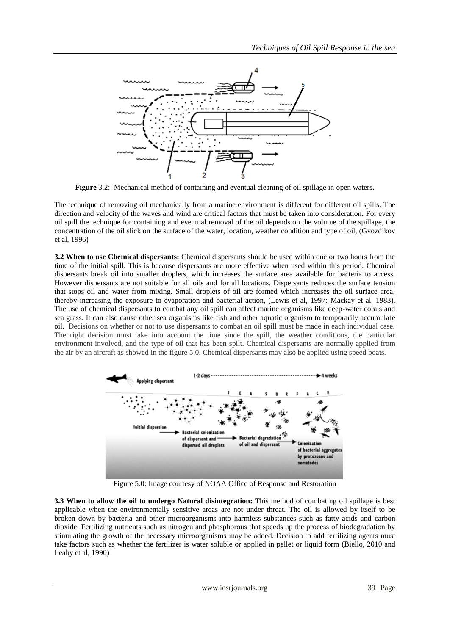

**Figure** 3.2: Mechanical method of containing and eventual cleaning of oil spillage in open waters.

The technique of removing oil mechanically from a marine environment is different for different oil spills. The direction and velocity of the waves and wind are critical factors that must be taken into consideration. For every oil spill the technique for containing and eventual removal of the oil depends on the volume of the spillage, the concentration of the oil slick on the surface of the water, location, weather condition and type of oil, (Gvozdikov et al, 1996)

**3.2 When to use Chemical dispersants:** Chemical dispersants should be used within one or two hours from the time of the initial spill. This is because dispersants are more effective when used within this period. Chemical dispersants break oil into smaller droplets, which increases the surface area available for bacteria to access. However dispersants are not suitable for all oils and for all locations. Dispersants reduces the surface tension that stops oil and water from mixing. Small droplets of oil are formed which increases the oil surface area, thereby increasing the exposure to evaporation and bacterial action, (Lewis et al, 1997: Mackay et al, 1983). The use of chemical dispersants to combat any oil spill can affect marine organisms like deep-water corals and sea grass. It can also cause other sea organisms like fish and other aquatic organism to temporarily accumulate oil. Decisions on whether or not to use dispersants to combat an oil spill must be made in each individual case. The right decision must take into account the time since the spill, the weather conditions, the particular environment involved, and the type of oil that has been spilt. Chemical dispersants are normally applied from the air by an aircraft as showed in the figure 5.0. Chemical dispersants may also be applied using speed boats.



Figure 5.0: Image courtesy of NOAA Office of Response and Restoration

**3.3 When to allow the oil to undergo Natural disintegration:** This method of combating oil spillage is best applicable when the environmentally sensitive areas are not under threat. The oil is allowed by itself to be broken down by bacteria and other microorganisms into harmless substances such as fatty acids and carbon dioxide. Fertilizing nutrients such as nitrogen and phosphorous that speeds up the process of biodegradation by stimulating the growth of the necessary microorganisms may be added. Decision to add fertilizing agents must take factors such as whether the fertilizer is water soluble or applied in pellet or liquid form (Biello, 2010 and Leahy et al, 1990)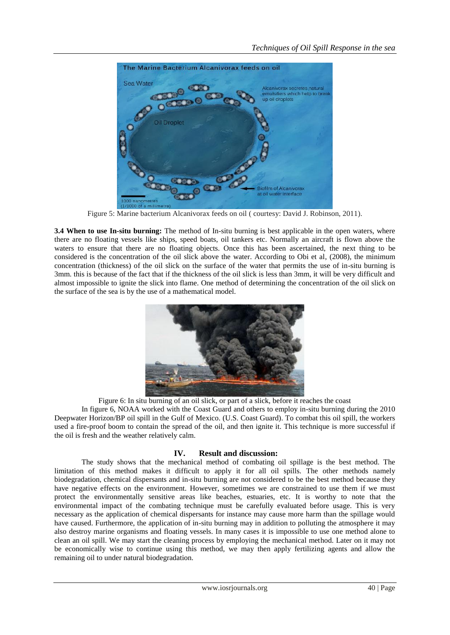

Figure 5: Marine bacterium Alcanivorax feeds on oil ( courtesy: David J. Robinson, 2011).

**3.4 When to use In-situ burning:** The method of In-situ burning is best applicable in the open waters, where there are no floating vessels like ships, speed boats, oil tankers etc. Normally an aircraft is flown above the waters to ensure that there are no floating objects. Once this has been ascertained, the next thing to be considered is the concentration of the oil slick above the water. According to Obi et al, (2008), the minimum concentration (thickness) of the oil slick on the surface of the water that permits the use of in-situ burning is 3mm. this is because of the fact that if the thickness of the oil slick is less than 3mm, it will be very difficult and almost impossible to ignite the slick into flame. One method of determining the concentration of the oil slick on the surface of the sea is by the use of a mathematical model.



Figure 6: In situ burning of an oil slick, or part of a slick, before it reaches the coast

In figure 6, NOAA worked with the Coast Guard and others to employ in-situ burning during the 2010 Deepwater Horizon/BP oil spill in the Gulf of Mexico. (U.S. Coast Guard). To combat this oil spill, the workers used a fire-proof boom to contain the spread of the oil, and then ignite it. This technique is more successful if the oil is fresh and the weather relatively calm.

# **IV. Result and discussion:**

The study shows that the mechanical method of combating oil spillage is the best method. The limitation of this method makes it difficult to apply it for all oil spills. The other methods namely biodegradation, chemical dispersants and in-situ burning are not considered to be the best method because they have negative effects on the environment. However, sometimes we are constrained to use them if we must protect the environmentally sensitive areas like beaches, estuaries, etc. It is worthy to note that the environmental impact of the combating technique must be carefully evaluated before usage. This is very necessary as the application of chemical dispersants for instance may cause more harm than the spillage would have caused. Furthermore, the application of in-situ burning may in addition to polluting the atmosphere it may also destroy marine organisms and floating vessels. In many cases it is impossible to use one method alone to clean an oil spill. We may start the cleaning process by employing the mechanical method. Later on it may not be economically wise to continue using this method, we may then apply fertilizing agents and allow the remaining oil to under natural biodegradation.